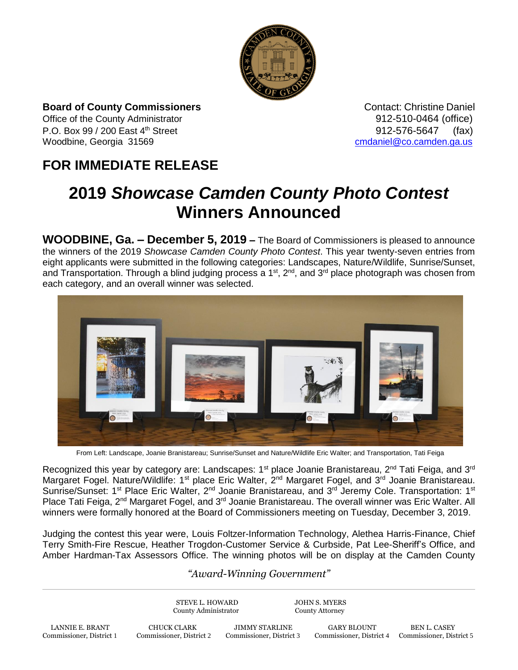

**Board of County Commissioners CONTER 1999 Contact: Christine Daniel** 

Office of the County Administrator **912-510-0464** (office) P.O. Box 99 / 200 East 4<sup>th</sup> Street 912-576-5647 (fax) Woodbine, Georgia 31569 [cmdaniel@co.camden.ga.us](mailto:cmdaniel@co.camden.ga.us)

## **FOR IMMEDIATE RELEASE**

## **2019** *Showcase Camden County Photo Contest*  **Winners Announced**

**WOODBINE, Ga. – December 5, 2019 –** The Board of Commissioners is pleased to announce the winners of the 2019 *Showcase Camden County Photo Contest*. This year twenty-seven entries from eight applicants were submitted in the following categories: Landscapes, Nature/Wildlife, Sunrise/Sunset, and Transportation. Through a blind judging process a 1<sup>st</sup>, 2<sup>nd</sup>, and 3<sup>rd</sup> place photograph was chosen from each category, and an overall winner was selected.



From Left: Landscape, Joanie Branistareau; Sunrise/Sunset and Nature/Wildlife Eric Walter; and Transportation, Tati Feiga

Recognized this year by category are: Landscapes: 1<sup>st</sup> place Joanie Branistareau, 2<sup>nd</sup> Tati Feiga, and 3<sup>rd</sup> Margaret Fogel. Nature/Wildlife: 1<sup>st</sup> place Eric Walter, 2<sup>nd</sup> Margaret Fogel, and 3<sup>rd</sup> Joanie Branistareau. Sunrise/Sunset: 1<sup>st</sup> Place Eric Walter, 2<sup>nd</sup> Joanie Branistareau, and 3<sup>rd</sup> Jeremy Cole. Transportation: 1<sup>st</sup> Place Tati Feiga, 2<sup>nd</sup> Margaret Fogel, and 3<sup>rd</sup> Joanie Branistareau. The overall winner was Eric Walter. All winners were formally honored at the Board of Commissioners meeting on Tuesday, December 3, 2019.

Judging the contest this year were, Louis Foltzer-Information Technology, Alethea Harris-Finance, Chief Terry Smith-Fire Rescue, Heather Trogdon-Customer Service & Curbside, Pat Lee-Sheriff's Office, and Amber Hardman-Tax Assessors Office. The winning photos will be on display at the Camden County

## *"Award-Winning Government"*

STEVE L. HOWARD JOHN S. MYERS County Administrator County Attorney LANNIE E. BRANT CHUCK CLARK JIMMY STARLINE GARY BLOUNT BEN L. CASEY<br>Commissioner, District 1 Commissioner, District 2 Commissioner, District 3 Commissioner, District 4 Commissioner, Dist Commissioner, District 4 Commissioner, District 5